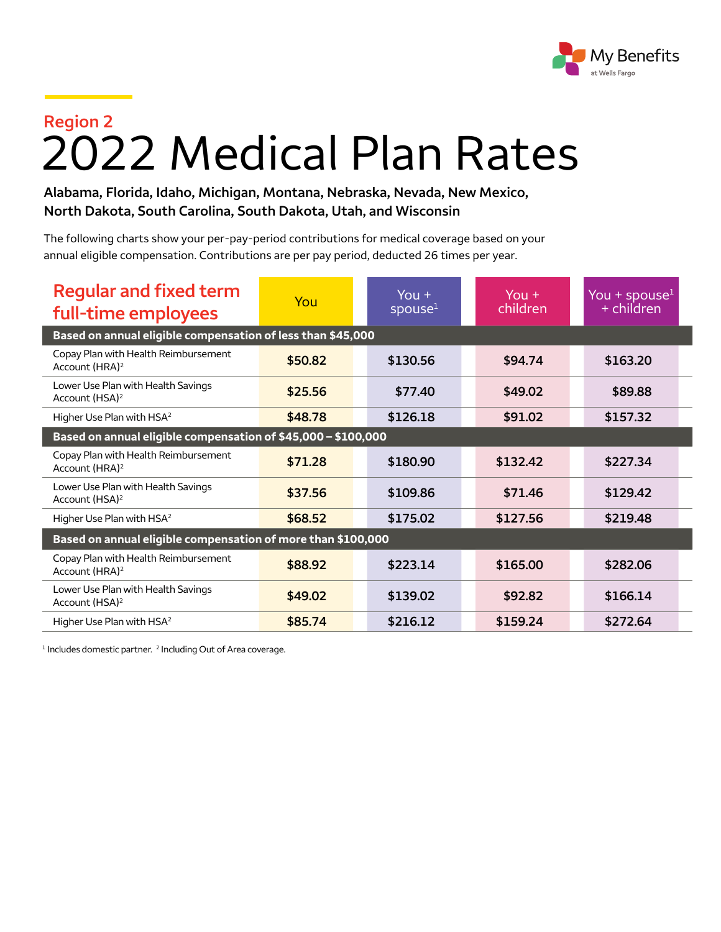

## **Region 2** 2022 Medical Plan Rates

**Alabama, Florida, Idaho, Michigan, Montana, Nebraska, Nevada, New Mexico, North Dakota, South Carolina, South Dakota, Utah, and Wisconsin**

The following charts show your per-pay-period contributions for medical coverage based on your annual eligible compensation. Contributions are per pay period, deducted 26 times per year.

| <b>Regular and fixed term</b><br>full-time employees               | You     | You $+$<br>spouse <sup>1</sup> | You $+$<br>children | You + spouse $1$<br>+ children |  |  |  |
|--------------------------------------------------------------------|---------|--------------------------------|---------------------|--------------------------------|--|--|--|
| Based on annual eligible compensation of less than \$45,000        |         |                                |                     |                                |  |  |  |
| Copay Plan with Health Reimbursement<br>Account (HRA) <sup>2</sup> | \$50.82 | \$130.56                       | \$94.74             | \$163.20                       |  |  |  |
| Lower Use Plan with Health Savings<br>Account (HSA) <sup>2</sup>   | \$25.56 | \$77.40                        | \$49.02             | \$89.88                        |  |  |  |
| Higher Use Plan with HSA <sup>2</sup>                              | \$48.78 | \$126.18                       | \$91.02             | \$157.32                       |  |  |  |
| Based on annual eligible compensation of \$45,000 - \$100,000      |         |                                |                     |                                |  |  |  |
| Copay Plan with Health Reimbursement<br>Account (HRA) <sup>2</sup> | \$71.28 | \$180.90                       | \$132.42            | \$227.34                       |  |  |  |
| Lower Use Plan with Health Savings<br>Account (HSA) <sup>2</sup>   | \$37.56 | \$109.86                       | \$71.46             | \$129.42                       |  |  |  |
| Higher Use Plan with HSA <sup>2</sup>                              | \$68.52 | \$175.02                       | \$127.56            | \$219.48                       |  |  |  |
| Based on annual eligible compensation of more than \$100,000       |         |                                |                     |                                |  |  |  |
| Copay Plan with Health Reimbursement<br>Account (HRA) <sup>2</sup> | \$88.92 | \$223.14                       | \$165.00            | \$282.06                       |  |  |  |
| Lower Use Plan with Health Savings<br>Account (HSA) <sup>2</sup>   | \$49.02 | \$139.02                       | \$92.82             | \$166.14                       |  |  |  |
| Higher Use Plan with HSA <sup>2</sup>                              | \$85.74 | \$216.12                       | \$159.24            | \$272.64                       |  |  |  |

<sup>1</sup> Includes domestic partner. <sup>2</sup> Including Out of Area coverage.